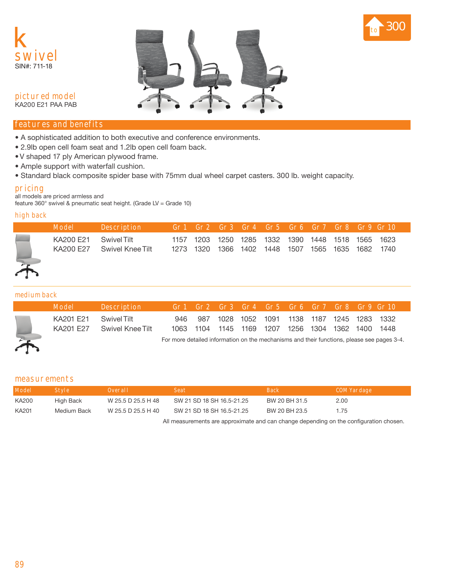





**pictured model** KA200 E21 PAA PAB

## **features and benefits**

- A sophisticated addition to both executive and conference environments.
- 2.9lb open cell foam seat and 1.2lb open cell foam back.
- V shaped 17 ply American plywood frame.
- Ample support with waterfall cushion.
- Standard black composite spider base with 75mm dual wheel carpet casters. 300 lb. weight capacity.

# **pricing**

all models are priced armless and

feature 360° swivel & pneumatic seat height. (Grade LV = Grade 10)

## **high back**

|   | Model                  | <b>Description</b>              |           |                | Gr1 Gr2 Gr3 Gr4 Gr5 Gr6 Gr7 Gr8 Gr9 Gr10          |      |                |      |
|---|------------------------|---------------------------------|-----------|----------------|---------------------------------------------------|------|----------------|------|
| 不 | KA200 F21<br>KA200 F27 | Swivel Tilt<br>Swivel Knee Tilt | 1273 1320 | 1366 1402 1448 | 1157 1203 1250 1285 1332 1390 1448 1518 1565 1623 | 1507 | 1565 1635 1682 | 1740 |

#### **medium back**

| Model                | Description                                                                                |     |  |  |  | Gr1 Gr2 Gr3 Gr4 Gr5 Gr6 Gr7 Gr8 Gr9 Gr10                                                         |  |  |  |  |  |
|----------------------|--------------------------------------------------------------------------------------------|-----|--|--|--|--------------------------------------------------------------------------------------------------|--|--|--|--|--|
| KA201 F21 SwiveLTilt | KA201 E27 Swivel Knee Tilt                                                                 | 946 |  |  |  | 987 1028 1052 1091 1138 1187 1245 1283 1332<br>1063 1104 1145 1169 1207 1256 1304 1362 1400 1448 |  |  |  |  |  |
|                      | For more detailed information on the mechanisms and their functions, please see pages 3-4. |     |  |  |  |                                                                                                  |  |  |  |  |  |

### **measurements**

| <b>Model</b> | <b>Style</b> | Overall            | <b>Seat</b>               | <b>Back</b>   | COM Yardage |
|--------------|--------------|--------------------|---------------------------|---------------|-------------|
| KA200        | High Back    | W 25.5 D 25.5 H 48 | SW 21 SD 18 SH 16.5-21.25 | BW 20 BH 31.5 | 2.00        |
| KA201        | Medium Back  | W 25.5 D 25.5 H 40 | SW 21 SD 18 SH 16.5-21.25 | BW 20 BH 23.5 | 1 75        |

All measurements are approximate and can change depending on the configuration chosen.